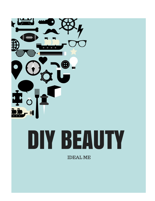

# DIY BEAUTY

**IDEAL ME**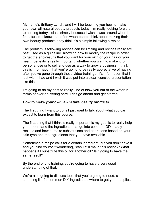My name's Brittany Lynch, and I will be teaching you how to make your own all-natural beauty products today. I'm really looking forward to hosting today's class simply because I wish it was around when I first started. I know that often when people think about making their own beauty products, they think it's a simple following a recipe.

The problem is following recipes can be limiting and recipes really are best used as a guideline. Knowing how to modify the recipe in order to get the end-results that you want for your skin or your hair or your health benefits is really important, whether you want to make it for personal use or to sell and use as a way to grow a business, I think this is information that you're going to be really appreciative of having after you've gone through these video trainings. It's information that I just wish I had and I wish it was put into a clear, concise presentation like this.

I'm going to do my best to really kind of blow you out of the water in terms of over-delivering here. Let's go ahead and get started.

#### *How to make your own, all-natural beauty products*

The first thing I want to do is I just want to talk about what you can expect to learn from this course.

The first thing that I think is really important is my goal is to really help you understand the ingredients that go into common DIYbeauty recipes and how to make substitutions and alterations based on your skin type and the ingredients that you have available.

Sometimes a recipe calls for a certain ingredient, but you don't have it and you find yourself wondering, "can I still make this recipe?" What happens if I substitute this oil for another oil? Is it going to have the same result?

By the end of this training, you're going to have a very good understanding of that.

We're also going to discuss tools that you're going to need, a shopping list for common DIY ingredients, where to get your supplies,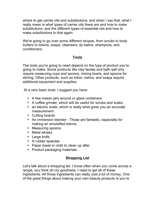where to get carrier oils and substitutions, and when I say that, what I really mean is what types of carrier oils there are and how to make substitutions, and the different types of essential oils and how to make substitutions to that again.

We're going to go over some different recipes, from scrubs to body butters to lotions, soaps, cleansers, lip balms, shampoos, and conditioners.

# **Tools**

The tools you're going to need depend on the type of product you're going to make. Some products like clay facials and bath salt only require measuring cups and spoons, mixing bowls, and spoons for stirring. Other products, such as lotion, balms, and soaps require additional equipment and supplies.

At a very basic level, I suggest you have:

- A few mason jars around or glass containers
- A coffee grinder, which will be useful for scrubs and soaks
- an electric scale, which is really what gives you an accurate measurement.
- Cutting boards
- An immersion blender Those are fantastic, especially for making an emulsified lotions.
- Measuring spoons
- Metal whisks
- Large knife,
- A rubber spatulas
- Paper towel or cloth to clean up after
- Product packaging materials.

# **Shopping List**

Let's talk about a shopping list. I know often when you come across a recipe, you think oh my goodness. I need to get all of these ingredients. All those ingredients can really cost a lot of money. One of the great things about making your own beauty products is you're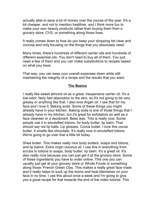actually able to save a lot of money over the course of the year. It's a lot cheaper, and not to mention healthier, and I think more fun to make your own beauty products rather than buying them from a grocery store, CVS, or something along those lines.

It really comes down to how do you keep your shopping list clear and concise and only focusing on the things that you absolutely need.

Many times, there's hundreds of different carrier oils and hundreds of different essential oils. You don't need to buy all of them. You just need a few of them and you can make substitutions to recipes based on what you have.

That way, you can keep your overall expenses down while still maintaining the integrity of a recipe and the results that you want.

#### **The Basics**

I really like sweet almond oil as a great, inexpensive carrier oil. It's a low-odor, fairly fast absorption to the skin, so it's not going to be very greasy or anything like that. I also love Argan oil. I use that for my face and I love it. Baking soda. Some of these things you might already have in your kitchen. Baking soda is one of those things that I already have in my kitchen, but it's great for exfoliators as well as a face cleanser or a deodorant. Bees wax. This is really nice. Some people use it in emulsified lotions, for body butter, lip balm. That should say not lip balls. Lip glosses. Cocoa butter. I love this cocoa butter. It smells like chocolate. It's really nice in emulsified lotions. We're going to go over that a little bit today.

Shea butter. This makes really nice body butters, soaps and lotions, and lip balms. Extra virgin coconut oil. I use this in everything from scrubs to lotions to soaps, body butter, lip balm. It's a great oil. It's also really nice because you can just get it at the grocery store. Some of these ingredients you have to order online. This one you can usually just get at your grocery store or Whole Foods or something along those. French Green Clay. This makes a really great face mask and it really helps to suck up the toxins and heal blemishes on your face in no time. I use this about once a week and I'm going to give you a great recipe for that towards the end of the video tutorial. This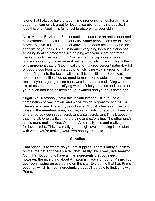is one that I always have a tough time pronouncing: jojoba oil. It's a super rich carrier oil, great for lotions, scrubs, and hair products. I love this one. Again, it's fairly fast to absorb into your skin.

Next, vitamin E. Vitamin E is fantastic because it's an antioxidant and also extends the shelf life of your oils. Some people confuse this with a preservative. It is not a preservative, but it does help to extend the shelf life of your oils. I put it in nearly everything because it also has amazing healing properties like helping with your scars or stretch marks. I really like vitamin E. You can get the capsules at your grocery store or you can order it online. Emulsifying wax. This is the only ingredient that isn't technically one hundred percent natural. A lot of people use bees wax instead of emulsifying wax in order to make lotion. I'll get into the technicalities of this in a little bit. Bees wax is not a true emulsifier. You do need to make some adjustments to your recipe if you're going to use bees wax instead of emulsifying wax. I like to use both, but emulsifying wax definitely does extend the life of your lotion and it helps keeping your waters and your oils combined.

Sugar. You'll probably have this in your kitchen. I like to use a combination of raw, brown, and white, which is great for scrubs. Salt. There's so many different types of salts. I'll post a few examples of those in the members area, but they're fantastic for scrubs. There is a difference between sugar scrub and a salt scrub, and I'll talk about that in a bit. One's a little more drying and exfoliating. The other one's a little more moisturizing. Oatmeal. Also really nice and really great for face scrubs. This is a really good, high-level shopping list to start with when you're making your own beauty products.

#### **Supplies**

That brings us to where do you get supplies. There's many suppliers on the internet and there's a few that I really like. I really like Amazon. Com. It's not going to have all the ingredients that you need, however, the nice thing about Amazon is if you sign up for Prime, you get free shipping on everything on the site. Everything that has Prime optional, which is most ingredients that you'll be able to find, ship with Prime.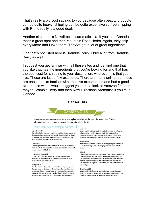That's really a big cost savings to you because often beauty products can be quite heavy, shipping can be quite expensive so free shipping with Prime really is a good deal.

Another site I use is Newdirectionsaromatics.ca. If you're in Canada, that's a great spot and then Mountain Rose Herbs. Again, they ship everywhere and I love them. They've got a lot of great ingredients.

One that's not listed here is Bramble Berry. I buy a lot from Bramble Berry as well.

I suggest you get familiar with all these sites and just find one that you like that has the ingredients that you're looking for and that has the best cost for shipping to your destination, wherever it is that you live. These are just a few examples. There are many online, but these are ones that I'm familiar with, that I've experienced and had a good experience with. I would suggest you take a look at Amazon first and maybe Bramble Berry and then New Directions Aromatics if you're in Canada.

#### **Carrier Oils**



A carrier oil is a vegetable oil derived from the fatty portion of a plant, usually from the seeds, kernels or nuts. "Carrier oil" comes from their purpose in carrying the essential oil into the skin.

#### Here are some example carrier oils:

#### **Apricot Kernel Oil**

Perfect light oil for face care including moisturizing oils and serums. Can be used as a light massage oil as it is easily absorbed. Good for all skin types, especially sensitive or dry, dehydrating, or maturing skin. High in oleic and linoleic fatty acids for skin nourishment

#### Avocado Oil

This oil is packed with vitamins and nutrients for skin repair and healing from the outside in! It is a thicker oil, so use it in a blend of carrier oils to create a nutrient-rich body oil.

#### **Fractionated Coconut Oil**

This is a light, clear, and odorless oil, making it is a great carrier for essential oils. It's also the perfect massage oil as it provides good lubrication and nice slip against skin.

#### **Hempseed Oil**

Put this oil on and step into the sun! This oil has many powers, from being a natural sun block, anti-inflammatory, and even contains high amounts of Vitamin E and antioxidants. Perfect as a light moisturizer that won't clog your pores. And it wouldn't hurt to add this oil to your diet, it's known to make skin glow, nails stronger, and hair shinier!

#### Jojoba Oil

Jojoba is a rich and luxurious liquid wax that is great as part of a body oil blend. It has a lightly nutty scent and is high in Vitamin E. Its composition is similar to the skin's natural oil, sebum. It is relatively expensive, but ideal for skin conditions and absorbs readily into skin.

#### Macadamia Oil

Macadamia is a luxurious oil that is great for especially sensitive skin. It is great for massage and moisturizing dry skin. Simply wonderful for babies!

#### Olive Oil

Olive is a good oil for skin care, especially dry skin. It makes an excellent conditioner for hair and nails. A good oil for making soaps, salves, and herbal infusions. And easy enough to get from your local store! Sesame Seed Oil This oil is nearly clear, with a golden hue, and is packed with Vitamin A and E. It is great in salves, lotions, and body oils for normal to dry skin types.

#### **Sweet Almond OII**

This oil is a favorite for aromatherapists because it is suitable for all skin types. It provides great lubrication when used as a massage oil. Its light scent makes it perfect for blending into a scented body oil.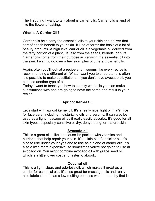The first thing I want to talk about is carrier oils. Carrier oils is kind of like the flower of baking.

## **What Is A Carrier Oil?**

Carrier oils help carry the essential oils to your skin and deliver that sort of health benefit to your skin. It kind of forms the basis of a lot of beauty products. A high level carrier oil is a vegetable oil derived from the fatty portion of a plant, usually from the seeds, kernels, or nuts. Carrier oils come from their purpose in carrying the essential oil into the skin. I want to go over a few examples of different carrier oils.

Again, often you'll look at a recipe and it seems like every recipe is recommending a different oil. What I want you to understand is often it is possible to make substitutions. If you don't have avocado oil, you can use another type of oil.

Today I want to teach you how to identify what oils you can make substitutions with and are going to have the same end result in your recipe.

# **Apricot Kernel Oil**

Let's start with apricot kernel oil. It's a really nice, light oil that's nice for face care, including moisturizing oils and serums. It can also be used as a light massage oil as it really easily absorbs. It's good for all skin types, especially sensitive or dry, dehydrating, or mature skin.

# **Avocado oil**

This is a great oil. I like it because it's packed with vitamins and nutrients that help repair your skin. It's a little bit of a thicker oil. It's nice to use under your eyes and to use as a blend of carrier oils. It's also a little more expensive, so sometimes you're not going to use all avocado oil. You might combine avocado oil with grape seed oil, which is a little lower cost and faster to absorb.

# **Coconut oil**

This is a light, clear, and odorless oil, which makes it great as a carrier for essential oils. It's also great for massage oils and really nice lubrication. It has a low melting point, so what I mean by that is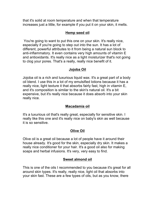that it's solid at room temperature and when that temperature increases just a little, for example if you put it on your skin, it melts.

#### **Hemp seed oil**

You're going to want to put this one on your skin. It's really nice, especially if you're going to step out into the sun. It has a lot of different, powerful attributes to it from being a natural sun block to anti-inflammatory. It even contains very high amounts of vitamin E and antioxidants. It's really nice as a light moisturizer that's not going to clog your pores. That's a really, really nice benefit of it.

## **Jojoba Oil**

Jojoba oil is a rich and luxurious liquid wax. It's a great part of a body oil blend. I use this in a lot of my emulsified lotions because it has a really nice, light texture it that absorbs fairly fast, high in vitamin E, and it's composition is similar to the skin's natural oil. It's a bit expensive, but it's really nice because it does absorb into your skin really nice.

#### **Macadamia oil**

It's a luxurious oil that's really great, especially for sensitive skin. I really like this one and it's really nice on baby's skin as well because it is so sensitive.

# **Olive Oil**

Olive oil is a great oil because a lot of people have it around their house already. It's good for the skin, especially dry skin. It makes a really nice conditioner for your hair. It's a good oil also for making soaps and herbal infusions. It's very, very easy to find.

## **Sweet almond oil**

This is one of the oils I recommended to you because it's great for all around skin types. It's really, really nice, light oil that absorbs into your skin fast. These are a few types of oils, but as you know, there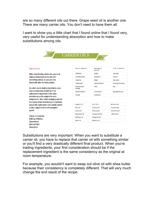are so many different oils out there. Grape seed oil is another one. There are many carrier oils. You don't need to have them all.

I want to show you a little chart that I found online that I found very, very useful for understanding absorption and how to make substitutions among oils.



Substitutions are very important. When you want to substitute a carrier oil, you have to replace that carrier oil with something similar or you'll find a very drastically different final product. When you're trading ingredients, your first consideration should be if the replacement ingredient is the same consistency as the original at room temperature.

For example, you wouldn't want to swap out olive oil with shea butter because their consistency is completely different. That will very much change the end result of the recipe.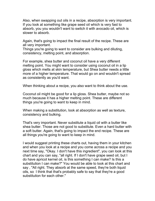Also, when swapping out oils in a recipe, absorption is very important. If you look at something like grape seed oil which is very fast to absorb, you you wouldn't want to switch it with avocado oil, which is slower to absorb.

Again, that's going to impact the final result of the recipe. These are all very important.

Things you're going to want to consider are bulking and diluting, consistency, melting point, and absorption.

For example, shea butter and coconut oil have a very different melting point. You might want to consider using coconut oil in a lip gloss which melts at skin temperature, but Shea butter needs a little more of a higher temperature. That would go on and wouldn't spread as consistently as you'd want.

When thinking about a recipe, you also want to think about the use.

Coconut oil might be good for a lip gloss. Shea butter, maybe not so much because it has a higher melting point. These are different things you're going to want to keep in mind.

When making a substitution, look at absorption as well as texture, consistency and bulking.

That's very important. Never substitute a liquid oil with a butter like shea butter. Those are not good to substitute. Even a hard butter with a soft butter. Again, that's going to impact the end recipe. These are all things you're going to want to keep in mind.

I would suggest printing these charts out, having them in your kitchen and when you look at a recipe and you come across a recipe and you next time say, "Okay. I don't have this ingredient", you can look at this chart and you can say, "all right. If I don't have grape seed oil, but I do have apricot kernel oil, is this something I can make? Is this a substitution I can make?" You would be able to look at this chart and say , "All right. They absorb at the same speed, they're both liquid oils, so I think that that's probably safe to say that they're a good substitution for each other."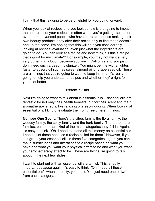I think that this is going to be very helpful for you going forward.

When you look at recipes and you look at how is that going to impact the end result of your recipe. It's often when you're getting started, or even more advanced people who have more experience making their own beauty products, they alter their recipe only to find that it doesn't end up the same. I'm hoping that this will help you considerably looking at recipes, evaluating, even just what the ingredients are going to do. You can look at a recipe and now think, "Is this a recipe that's good for my climate?" For example, you may not want a very, very butter in my lotion because you live in California and you just don't need such a deep moisturizer. You might be fine with a lighter, faster to absorb oil such as sweet almond oil or grape seed oil. These are all things that you're going to want to keep in mind. It's really going to help you understand recipes and whether they're right for you a lot better.

# **Essential Oils**

Next I'm going to want to talk about is essential oils. Essential oils are fantastic for not only their health benefits, but for their scent and their aromatherapy effects, like relaxing or sleep-inducing. When looking at essential oils, I kind of evaluate them on three different things:

**Number One Scent:** There's the citrus family, the floral family, the woodsy family, the spicy family, and the herb family. There are more families, but these are kind of the main categories they fall in. Again, it's easy to think, "Oh, I need to spend all this money on essential oils. I need all of these because a recipe called for them." However, if you just group your essential oils in these five categories, again, you can make substitutions and alterations to a recipe based on what you have and what you want your physical effect to be and what you want your aromatherapy effect to be. These are things I'm going to talk about in the next few slides.

I want to start out with an essential oil starter list. This Is really important because again, it's easy to think, "Oh I need all these essential oils", when in reality, you don't. You just need one or two from each category.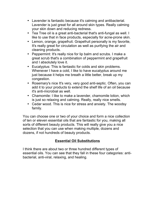- Lavender is fantastic because it's calming and antibacterial. Lavender is just great for all around skin types. Really calming your skin down and reducing redness.
- Tea Tree oil is a great anti-bacterial that's anti-fungal as well. I like to use that in face products, especially for acne-prone skin.
- Lemon, orange, grapefruit. Grapefruit personally is my favorite, It's really great for circulation as well as purifying the air and cleaning products.
- Peppermint: It's really nice for lip balm and scrubs. I make a great scrub that's a combination of peppermint and grapefruit and I absolutely love it.
- Eucalyptus: This is fantastic for colds and skin problems. Whenever I have a cold, I like to have eucalyptus around me just because it helps me breath a little better, break up my congestion.
- Rosemary's nice It's very, very good anti-septic. Often, you can add it to your products to extend the shelf life of an oil because it's anti-microbial as well.
- Chamomile: I like to make a lavender, chamomile lotion, which is just so relaxing and calming. Really, really nice smells.
- Cedar wood. This is nice for stress and anxiety. The woodsy family.

You can choose one or two of your choice and form a nice collection of ten or eleven essential oils that are fantastic for you, making all sorts of different beauty products. This will really give you a nice selection that you can use when making multiple, dozens and dozens, if not hundreds of beauty products.

# **Essential Oil Substitutions**

I think there are about two or three hundred different types of essential oils. You can see that they fall in these four categories: antibacterial, anti-viral, relaxing, and healing.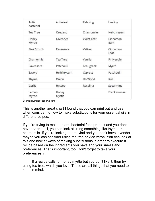| Anti-<br>bacterial | Anti-viral      | Relaxing    | Healing          |
|--------------------|-----------------|-------------|------------------|
| <b>Tea Tree</b>    | Oregano         | Chamomile   | Helichrysum      |
| Honey<br>Myrtle    | Lavender        | Violet Leaf | Cinnamon<br>Bark |
| Pine Scotch        | Ravensara       | Vetiver     | Cinnamon<br>Leaf |
| Chamomile          | <b>Tea Tree</b> | Vanilla     | Fir Needle       |
| Ravensara          | Patchouli       | Fenugreek   | Myrrh            |
| Savory             | Helichrysum     | Cypress     | Patchouli        |
| Thyme              | Onion           | Ho Wood     | Rue              |
| Garlic             | Hyssop          | Rosalina    | Spearmint        |
| Lemon<br>Myrtle    | Honey<br>Myrtle |             | Frankincense     |

Source: Humblebeeandme.com

This is another great chart I found that you can print out and use when considering how to make substitutions for your essential oils in different recipes.

If you're trying to make an anti-bacterial face product and you don't have tea tree oil, you can look at using something like thyme or chamomile. If you're looking at anti-viral and you don't have lavender, maybe you can consider using tea tree or vice versa. You can look at this and look at ways of making substitutions in order to execute a recipe based on the ingredients you have and your smells and preferences. That's important, too. Don't forget to take your preferences in.

If a recipe calls for honey myrtle but you don't like it, then try using tea tree, which you love. These are all things that you need to keep in mind.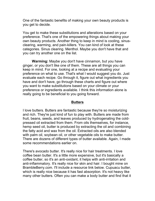One of the fantastic benefits of making your own beauty products is you get to decide.

You get to make these substitutions and alterations based on your preference. That's one of the empowering things about making your own beauty products. Another thing to keep in mind is cooling, sinusclearing, warming, and pain-killers. You can kind of look at these categories. Sinus clearing. Menthol. Maybe you don't have that and you can try another one on the list.

**Warming:** Maybe you don't have cinnamon, but you have ginger, or you don't like one of them. These are all things you can keep in mind. For one, looking at a recipe and evaluating your preference on what to use. That's what I would suggest you do. Just evaluate each recipe. Go through it, figure out what ingredients you have and don't have, go through these charts and figure out where you want to make substitutions based on your climate or your preference or ingredients available. I think this information alone is really going to be beneficial to you going forward.

#### **Butters**

I love butters. Butters are fantastic because they're so moisturizing and rich. They're just kind of fun to play with. Butters are made from fruit, beans, seeds, and leaves produced by hydrogenating the coldpressed oil extracted from them. From oils themselves, for instance, hemp seed oil, butter is produced by extracting the oil and combining the fatty acid and wax from the oil. Extracted oils are also blended with palm oil, soybean oil, or other vegetable oils to make butter. There are dozens of different types of butter available. Again, I made some recommendations earlier on.

There's avocado butter. It's really nice for hair treatments. I love coffee bean butter. It's a little more expensive, but it's basically a coffee butter, so it's an anti-oxidant, it helps with anti-irritation and anti-inflammatory. It's really nice for skin and hair. I bought mine on BrambleBerry.com. I'll include a resource link below. Cupuacu butter, which is really nice because it has fast absorption. It's not heavy like many other butters. Often you can make a body butter and find that it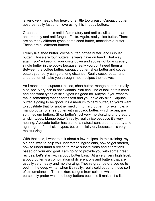is very, very heavy, too heavy or a little too greasy. Cupuacu butter absorbs really fast and I love using this in body butters.

Green tea butter. It's anti-inflammatory and anti-cellulite. It has an anti-irritancy and anti-fungal effects. Again, really nice butter. There are so many different types hemp seed butter, macadamia butter. These are all different butters.

I really like shea butter, cocoa butter, coffee butter, and Cupuacu butter. Those are four butters I always have on hand. That way, again, you're keeping your costs down and you're not buying every single butter in the books because really you don't need them all. Between the coffee butter, cupuacu butter, shea butter and cocoa butter, you really can go a long distance. Really cocoa butter and shea butter will take you through most recipes themselves.

As I mentioned, cupuacu, cocoa, shea butter, mango butter is really nice, too. Very rich in antioxidants. You can kind of look at this chart and see what types of skin types it's good for. Maybe if you want to make something that absorbs fast and you have dry skin, Cupuacu butter is going to be good. It's a medium to hard butter, so you'd want to substitute that for another medium to hard butter. For example, a mango butter or shea butter with avocado butter, which again, are soft medium butters. Shea butter's just very moisturizing and great for all skin types. Mango butter's really, really nice because it's very healing. Avocado butter has a bit of a natural sunscreen property and again, great for all skin types, but especially dry because it is very moisturizing.

With that said, I want to talk about a few recipes. In this training, my big goal was to help you understand ingredients, how to get started, how to understand a recipe to make substitutions and alterations based on your end goal. I am going to provide you with some great recipes. Let's start with a body butter basic. At a very, very high level, a body butter is a combination of different oils and butters that are usually very heavy and moisturizing. They're great before you go to bed, in the deep winter when it's really, really cold out and those sort of circumstances. Their texture ranges from solid to whipped. I personally prefer whipped body butters because it makes it a little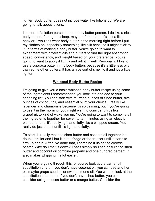lighter. Body butter does not include water like lotions do. We are going to talk about lotions.

I'm more of a lotion person than a body butter person. I do like a nice body butter after I go to sleep, maybe after a bath. It's just a little heavier. I wouldn't wear body butter in the morning right before I put my clothes on, especially something like silk because it might stick to it. In terms of making a body butter, you're going to want to experiment with different oils and butters to find the right absorption speed, consistency, and weight based on your preference. You're going to want to apply it lightly and rub it in well. Personally, I like to use a cupuacu butter in my body butters because it's a little less oily than some other butters. It has a nice sort of smell to it and it's a little lighter.

#### **Whipped Body Butter Recipe**

I'm going to give you a basic whipped body butter recipe using some of the ingredients I recommended you look into and add to your shopping list. You can start with fourteen ounces of Shea butter, five ounces of coconut oil, and essential oil of your choice. I really like lavender and chamomile because it's so calming, but if you're going to use it in the morning, you might want to consider citrus like grapefruit to kind of wake you up. You're going to want to combine all the ingredients together for seven to ten minutes using an electric blender or until it's really light and fluffy like a whipped cream. You really do just beat it until it's light and fluffy.

To start, I usually melt the shea butter and coconut oil together in a double broiler and I but it in the fridge or the freezer until it starts to firm up again. After I've done that, I combine it using the electric beater. Why do I melt it down? That's simply so I can ensure the shea butter and coconut oil combine properly and one hundred percent. It also makes whipping it a lot easier.

When you're going through this, of course look at the carrier oil substitution chart. If you don't have coconut oil, you can use another oil, maybe grape seed oil or sweet almond oil. You want to look at the substitution chart here. If you don't have shea butter, you can consider using a cocoa butter or a mango butter. Consider the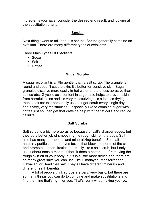ingredients you have, consider the desired end result, and looking at the substitution charts.

## **Scrubs**

Next thing I want to talk about is scrubs. Scrubs generally combine an exfoliant. There are many different types of exfoliants.

Three Main Types Of Exfoliants:

- Sugar
- Salt
- Coffee

# **Sugar Scrubs**

A sugar exfoliant is a little gentler than a salt scrub. The granule is round and doesn't cut the skin. It's better for sensitive skin. Sugar granules dissolve more easily in hot water and are less abrasive than salt scrubs. Glycolic acid content in sugar also helps to prevent skin from harmful toxins and it's very moisturizing. It's a lot less drying than a salt scrub. I personally use a sugar scrub every single day. I find it very, very moisturizing. I especially like to combine sugar with coffee just so I can get that caffeine help with the fat cells and reduce cellulite.

## **Salt Scrubs**

Salt scrub is a bit more abrasive because of salt's sharper edges, but they do a better job of smoothing the rough skin on the body. Salt also has many therapeutic and mineralizing benefits. Sea salt naturally purifies and removes toxins that block the pores of the skin and promotes better circulation. I really like a salt scrub, but I only use it about once a month, if that. It does a better job of removing the rough skin off of your body, but it is a little more drying and there are so many great salts you can use, like Himalayan, Mediterranean, Hawaiian, or Dead Sea salt. They all have different minerals and different health benefits.

A lot of people think scrubs are very, very basic, but there are so many things you can do to combine and make substitutions and find the thing that's right for you. That's really what making your own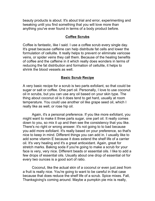beauty products is about. It's about trial and error, experimenting and tweaking until you find something that you will love more than anything you've ever found in terms of a body product before.

## **Coffee Scrubs**

Coffee is fantastic, like I said. I use a coffee scrub every single day. It's great because caffeine can help distribute fat cells and lower the formulation of cellulite. It really helps to prevent or eliminate varicose veins, or spider veins they call them. Because of the healing benefits of coffee and the caffeine in it which really does wonders in terms of reducing the fat distribution and formation of cellulite, it helps to shrink the blood vessels as well.

## **Basic Scrub Recipe**

A very basic recipe for a scrub is two parts exfoliant, so that could be sugar or salt or coffee. One part oil. Personally, I love to use coconut oil in scrubs, but you can use any oil based on your skin type. The thing about coconut oil is it does tend to get hard, usually at room temperature. You could use another oil like grape seed oil, which I really like as well, or rose hip oil.

Again, it's a personal preference. If you like more exfoliant, you might want to make it three parts sugar, one part oil. It really comes down to you, so mix it up and then see the consistency that you like. There's no right or wrong answer. It's not going to to bad because you add more exfoliant. It's really based on your preference, so that's nice to keep in mind. Different things you can add in. I usually like to add some vitamin E because it does extend the shelf life of a carrier oil. It's very healing and it's a great antioxidant. Again, great for stretch marks. Baking soda if you're going to make a scrub for your face is very, very nice. Different beads or essential oils. I like to add a few drops of essential oils. Usually about one drop of essential oil for every two ounces is a good sort of ratio.

Coconut, like the actual skin of a coconut or even just zest from a fruit is really nice. You're going to want to be careful in that case because that does reduce the shelf life of a scrub. Spice mixes. Fall, Thanksgiving's coming around. Maybe a pumpkin pie mix is really,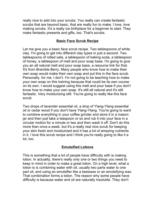really nice to add into your scrubs. You really can create fantastic scrubs that are beyond basic, that are really fun to make. I love, love making scrubs. It's a really ice birthplace for a beginner to start. They make fantastic presents and gifts, too. That's scrubs.

## **Basic Face Scrub Recipe**

Let me give you a basic face scrub recipe. Two tablespoons of white clay. I'm going to get into different clay types in just a second. Two tablespoons of rolled oats, a tablespoon of baking soda, a tablespoon of honey, a tablespoon of melt and pour soap base. I'm going to give you an all natural melt and pour soap base, a resource link for that. It's from Bramble Berry. Many people who know how to make their own soap would make their own soap and put this in the face scrub. Personally, for me, I don't. I'm not going to be teaching how to make your own soap on this training because that could be its own course on its own. I would suggest using this melt and pour base if you don't know how to make your own soap. It's still all natural and it's still fantastic. Very moisturizing still. You're going to really like this face scrub.

Two drops of lavender essential oil, a drop of Ylang-Ylang essential oil or cedar wood if you don't have Ylang-Ylang. You're going to want to combine everything in your coffee grinder and store it in a mason jar and then just take a teaspoon or so and rub it into your face in a circular motion for a minute or two and then wash it off. Don't do this more than once a week, but it's a really real nice scrub for keeping your skin fresh and moisturized and it has a lot of amazing nutrients in it. I love this scrub recipe and I think you're really going to like it a lot, too.

## **Emulsified Lotions**

This is something that a lot of people have difficulty with is making lotion. In actuality, there's really only one or two things you need to keep in mind in order to make a great lotion. On a high level, what a lotion is is combining water with oil, usually two parts water to one part oil, and using an emulsifier like a beeswax or an emulsifying wax. That combination forms a lotion. The reason why some people have difficulty is because water and oil are naturally insoluble. They don't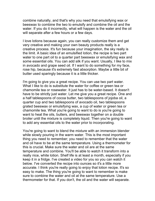combine naturally, and that's why you need that emulsifying wax or beeswax to combine the two to emulsify and combine the oil and the water. If you do it incorrectly, what will happen is the water and the oil will separate after a few hours or a few days.

I love lotions because again, you can really customize them and get very creative and making your own beauty products really is a creative process. It's fun because your imagination, the sky really is the limit. A basic idea of an emulsified lotion, the recipe is two part water to one part oil to a quarter part beeswax or emulsifying wax and some essential oils. You can add silk if you want. Usually, I like to mix in avocado and grape seed oil. If I want to do something for my face, rose hip, because it's extremely fast absorption. Maybe a little bit of butter used sparingly because it is a little thicker.

I'm going to give you a great recipe. You can use two part water. What I like to do is substitute the water for coffee or green tea or chamomile tea or rosewater. It just has to be water-based. It doesn't have to be strictly just water. Let me give you a great recipe. One and a half tablespoons of cocoa butter, two tablespoons of jojoba oil, a quarter cup and two tablespoons of avocado oil, two tablespoons grated beeswax or emulsifying wax, a cup of water or green tea or chamomile tea. What you're going to want to do is you're going to want to heat the oils, butters, and beeswax together on a double broiler until the mixture is completely liquid. Then you're going to want to add any essential oils to the water prior to incorporating.

You're going to want to blend the mixture with an immersion blender while slowly pouring in the warm water. This is the most important thing you need to remember; you need to remember that the water and oil have to be at the same temperature. Using a thermometer for this is crucial. Make sure the water and oil are at the same temperature and combine. You'll be able to watch it transform into a really nice, white lotion. Shelf life is at least a month, especially if you keep it in a fridge. I've created a video for you so you can watch it below. I've converted the recipe into ounces so it's a little more accurate. I think you're really going to enjoy that lotion recipe. It's so easy to make. The thing you're going to want to remember is make sure to combine the water and oil at the same temperature. Use a thermometer for that. If you don't, the oil and the water will separate.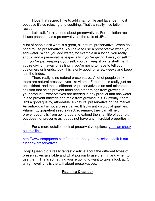I love that recipe. I like to add chamomile and lavender into it because it's so relaxing and soothing. That's a really nice lotion recipe.

Let's talk for a second about preservatives. For the lotion recipe I'll use phenonip as a preservative at the ratio of .5%.

A lot of people ask what is a great, all natural preservative. When do I need to use preservatives. You have to use a preservative when you add water. When you add water, for example in a lotion, you really should add a preservative, especially if you're giving it away or selling it. If you're just keeping it yourself, you can keep it on its shelf life. If you're giving it away or selling it, you're going to have to tell your customers or friends, look, this is only good for a few weeks and keep it in the fridge.

There really is no natural preservative. A lot of people think there are natural preservatives like vitamin E, but that is really just an antioxidant, and that is different. A preservative is an anti-microbial solution that helps prevent mold and other things from growing in your product. Preservatives are needed in any product that has water in it to prevent bacteria and mold from growing in it. Currently, there isn't a good quality, affordable, all-natural preservative on the market. An antioxidant is not a preservative. It lacks anti-microbial qualities. Vitamin E, grapefruit seed extract, rosemary, they can all help prevent your oils from going bad and extend the shelf life of your oil, but does not preserve as it does not have anti-microbial properties in it.

For a more detailed look at preservative options, you can check out this link.

http://www.soapqueen.com/bath-and-body-tutorials/lotion/talk-it-outtuesday-preservatives/

Soap Queen did a really fantastic article about the different types of preservatives available and what portion to use them in and when to use them. That's something you're going to want to take a look at. On a high level, this is the talk about preservatives.

# **Foaming Cleanser**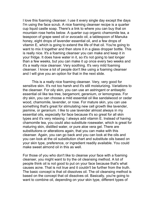I love this foaming cleanser. I use it every single day except the days I'm using the face scrub. A nice foaming cleanser recipe is a quarter cup liquid castle soap. There's a link to where you can buy that on mountain rose herbs below. A quarter cup organic chamomile tea, a teaspoon of grape seed oil or avocado oil, a tablespoon of Manuka honey, eight drops of lavender essential oil, and a few drops of vitamin E, which is going to extend the life of that oil. You're going to want to mix it together and then store it in a glass dropper bottle. This is really nice. It's a foaming cleanser you can make and keep it in your fridge. It does have water in it, so it's not going to last longer than a few weeks, but you can make it up once every two weeks and it's a really nice cleanser. Very soothing. It's very mild foaming cleanser. I know a lot of people don't like using a foaming cleanser and I will give you an option for that in the next slide.

This is a really nice foaming cleanser. Very, very good for sensitive skin. It's not too harsh and it's still moisturizing. Variations to the cleanser. For oily skin, you can use an astringent or antiseptic essential oil like tea tree, bergamont, geranium, or lemongrass. For dry skin, you can choose a mild essential oil like sandalwood or cedar wood, chamomile, lavender, or rose. For mature skin, you can use something that's great for stimulating new cell growth like lavender, jasmine, or geranium. I like to use lavender almost always in my essential oils, especially for face because it's so great for all skin types and it's very relaxing. I always add vitamin E. Instead of having chamomile tea, you could also substitute rosewater, which is great for maturing skin, distilled water, or pure aloe vera gel. There are substitutions or alterations again, that you can make with this cleanser. Again, you can go back and you can look at the oils and you can look at the oil substitution chart and substitute oils based on your skin type, preference, or ingredient readily available. You could make sweet almond oil in this as well.

For those of you who don't like to cleanse your face with a foaming cleanser, you might want to try the oil cleansing method. A lot of people think oil is not good to put on your face because that's what causes acne. That is not true and it couldn't be further from the truth. The basic concept is that oil dissolves oil. The oil cleansing method is based on the concept that oil dissolves oil. Basically, you're going to want to combine oil, depending on your skin type, different types of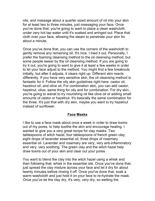oils, and massage about a quarter sized amount of oil into your skin for at least two to three minutes, just massaging your face. Once you've done that, you're going to want to place a clean washcloth under very hot tap water until it's soaked and wringed out. Place that cloth over your face, allowing the steam to penetrate your skin for about a minute.

Once you've done that, you can use the corners of the washcloth to gently remove any remaining oil. It's nice. I tried it out. Personally, I prefer the foaming cleansing method to the oil cleansing method, but some people swear by the oil cleansing method. If you are going to try it out, you're going to want to give it at least a few weeks in order to let your face adjust to the method. You might find a few breakouts initially, but after it adjusts, it clears right up. Different skin reacts differently. If you have very sensitive skin, the oil cleansing method is fantastic for it. Follow the oily skin guidelines right here: castor oil, hazelnut oil, and olive oil. For combination skin, you can add castor, hazelnut, olive, same thing for oily and for combination. For dry skin, you're going to wanat to try nourishing oil like olive oil or adding small amounts of castor or hazelnut. It's basically the same combination for the three. It's just that with dry skin, maybe you want to try hazelnut instead of sunflower.

#### **Face Masks**

I like to use a face mask about once a week in order to draw toxins out of my pores, to help soothe the skin and encourage healing. I wanted to give you a very great recipe for clay masks. Two tablespoons of witch hazel, four tablespoons of french green clay, eight drops of lavender essential oil, three drops of rosemary essential oil. Lavender and rosemary are very, very anti-inflammatory and very, very soothing. The green clay and the witch hazel help draw toxins out of your skin and clear out your pores.

You want to blend the clay into the witch hazel using a whisk and then following that, whisk in the essential oils. Once you've done that, just spread the clay mixture across your face and let it dry for about twenty minutes before rinsing it off. Once you've done that, soak a warm washcloth and just hold it on your face to re-hydrate the mask. Once you've let the clay dry, it's very, very dry, so wetting the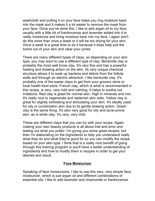washcloth and putting it on your face helps you ring moisture back into the mask and it makes it a lot easier to remove the mask from your face. Once you've done this, I like to add argan oil to my face, usually with a little bit of frankincense and lavender added into it to really moisturize and bring moisture back into my face. I again don't do this more than once a week or it will be too drying for your skin. Once a week is a great time to do it because it does help pull the toxins out of your skin and clear your pores.

There are many different types of clays, so depending on your skin type, you may want to use a different type of clay. Bentonite clay is probably the most well know clay. It's very fine and has a powerful healing and drawing action on the skin. Its very unique chemical structure allows it to soak up bacteria and debris from the follicle walls and through an electric attraction. I like bentonite clay. It's probably one of the easier clays to get from your grocery store or local health food store. French clay, which is what is recommended in this recipe, is very, very mild and calming. It helps to soothe out irritations. Red clay is great for normal skin. High in minerals and iron. It's really nice to regenerate and replenish skin cells. Yellow clay is great for slightly exfoliating and stimulating your skin. It's ideally used for oily or combination skin due to its gentle drawing action. Green clay is the same thing. It's also very good for oily and acne-prone skin, as is white clay. It's very, very mild.

These are different clays that you can try with your recipe. Again, making your own beauty products is all about trial and error and testing out what you prefer. I'm giving you some great recipes, but then I'm elaborating on the ingredients to help you understand really what they do and what they're good for so you can modify the recipe based on your skin type. I think that is a really nice benefit of going through this training program is you'll have a better understanding of ingredients and how to modify them in recipes in order to get your desired end result.

#### **Face Moisturizer**

Speaking of face moisturizers, I like to use this very, very simple face moisturizer, which is just argan oil and different combinations of essential oils. I like to add lavender and chamomile or frankincense.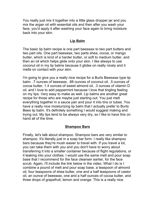You really just mix it together into a little glass dropper jar and you mix the argan oil with essential oils and then after you wash your face, you'd apply it after washing your face again to bring moisture back into your skin.

## **Lip Balm**

The basic lip balm recipe is one part beeswax to two part butters and two part oils. One part beeswax, two parts shea, cocoa, or mango butter, which is kind of a harder butter, or soft to medium butter, and then an oil which helps glide onto your skin. I like always to use coconut oil in my lip balms because it glides on really nicely and it melts on contact with your skin.

I'm going to give you a really nice recipe for a Burts Beeswax type lip balm. .7 ounces of beeswax, .88 ounces of coconut oil, .5 ounces of cocoa butter, 1.4 ounces of sweet almond oil, .3 ounces of vitamin D oil, and I love to add peppermint because I love that tingling feeling on my lips. Very easy to make as well. Lip balms are another great recipe for those who are maybe just starting out. You just melt everything together in a sauce pan and pour it into tins or tubes. You have a really nice moisturizing lip balm that I actually prefer to Burts Bees lip balm. It's definitely something I would suggest making and trying out. My lips tend to be always very dry, so I like to have this on hand all of the time.

# **Shampoo Bars**

Finally, let's talk about shampoo. Shampoo bars are very similar to shampoo. It's literally just in a soap bar form. I really like shampoo bars because they're mush easier to travel with. If you travel a lot, you can take them with you and you don't have to worry about transferring it into a smaller container because of flight regulations, or it leaking into your clothes. I would use the same melt and pour soap base that I recommend for the face cleanser earlier, for the face scrub. Again, I'll include the link below in the video. What I do is I combine a pound of melt and pour soap base, a teaspoon of almond oil, four teaspoons of shea butter, one and a half teaspoons of castor oil, an ounce of beeswax, one and a half ounces of cocoa butter, and three drops of grapefruit, lemon and orange. This is a really nice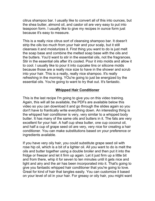citrus shampoo bar. I usually like to convert all of this into ounces, but the shea butter, almond oil, and castor oil are very easy to put into teaspoon form. I usually like to give my recipes in ounce form just because it's easy to measure.

This is a really nice citrus sort of cleansing shampoo bar. It doesn't strip the oils too much from your hair and your scalp, but it still cleanses it and moisturizes it. First thing you want to do is just melt the soap base and combine the melted soap base with the oils and the butters. You'd want to stir in the essential oils, not the fragrances. Stir in the essential oils after it's cooled. Pour it into molds and allow it to cool. I usually like to pour it into cupcake tins or silicone molds because those are a really nice size to have in the shower and scrub into your hair. This is a really, really nice shampoo. It's really refreshing in the morning. YOu're going to just be energized by the essential oils. You're going to want to try that out. It's fantastic.

## **Whipped Hair Conditioner**

This is the last recipe I'm going to give you on this video training. Again, this will all be available, the PDFs are available below this video so you can download it and go through the slides again so you don't have to frantically write everything down. An interesting thing is the whipped hair conditioner is very, very similar to a whipped body butter. It has many of the same oils and butters in it. The fats are very excellent for your hair. A half cup shea butter, one cup coconut oil, and half a cup of grape seed oil are very, very nice for creating a hair conditioner. You can make substitutions based on your preference or ingredients available.

If you have very oily hair, you could substitute grape seed oil with rose hip oil, which is a bit of a lighter oil. All you want to do is melt the oils and butter together using a double broiler and then put it into the fridge or freezer and let it firm up again. Let it just firm up a little bit and from there, whip it for seven to ten minutes until it gets nice and light and airy and the air has been incorporated into it. That's going to give you fantastic whipped hair conditioner that you're going to love. Great for kind of hair that tangles easily. You can customize it based on your level of oil in your hair. For greasy or oily hair, you might want